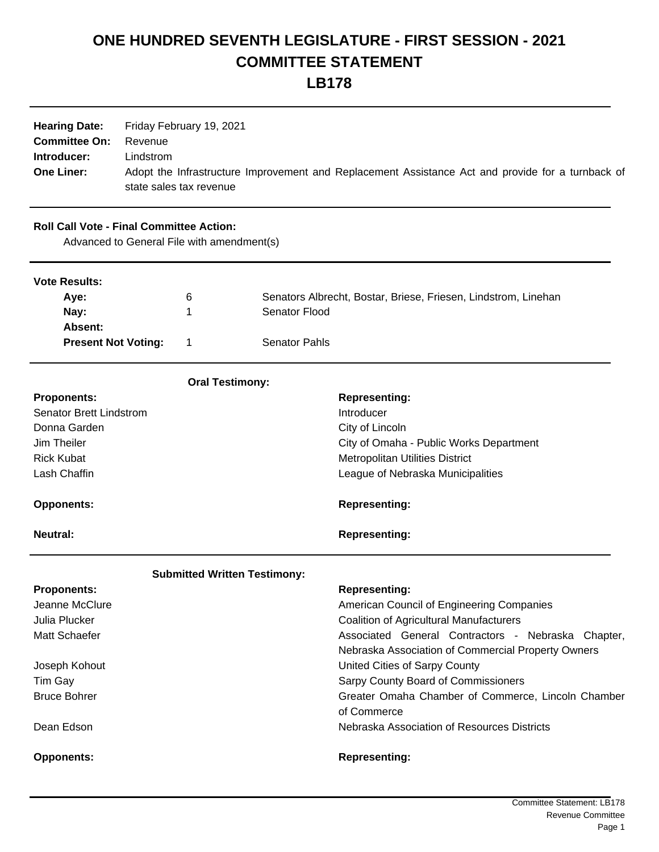## **ONE HUNDRED SEVENTH LEGISLATURE - FIRST SESSION - 2021 COMMITTEE STATEMENT LB178**

| <b>Hearing Date:</b><br><b>Committee On:</b><br>Introducer:<br><b>One Liner:</b> | Friday February 19, 2021<br>Revenue<br>Lindstrom<br>state sales tax revenue |                                            |                                                                | Adopt the Infrastructure Improvement and Replacement Assistance Act and provide for a turnback of |
|----------------------------------------------------------------------------------|-----------------------------------------------------------------------------|--------------------------------------------|----------------------------------------------------------------|---------------------------------------------------------------------------------------------------|
| <b>Roll Call Vote - Final Committee Action:</b>                                  |                                                                             | Advanced to General File with amendment(s) |                                                                |                                                                                                   |
| <b>Vote Results:</b>                                                             |                                                                             |                                            |                                                                |                                                                                                   |
| Aye:<br>6                                                                        |                                                                             |                                            | Senators Albrecht, Bostar, Briese, Friesen, Lindstrom, Linehan |                                                                                                   |
| Nay:                                                                             |                                                                             | 1                                          | Senator Flood                                                  |                                                                                                   |
| Absent:                                                                          |                                                                             |                                            |                                                                |                                                                                                   |
| <b>Present Not Voting:</b>                                                       |                                                                             | 1                                          | <b>Senator Pahls</b>                                           |                                                                                                   |
|                                                                                  |                                                                             | <b>Oral Testimony:</b>                     |                                                                |                                                                                                   |
| <b>Proponents:</b>                                                               |                                                                             |                                            |                                                                | <b>Representing:</b>                                                                              |
| <b>Senator Brett Lindstrom</b>                                                   |                                                                             |                                            |                                                                | Introducer                                                                                        |
| Donna Garden                                                                     |                                                                             |                                            |                                                                | City of Lincoln                                                                                   |
| Jim Theiler                                                                      |                                                                             |                                            |                                                                | City of Omaha - Public Works Department                                                           |
| <b>Rick Kubat</b>                                                                |                                                                             |                                            |                                                                | <b>Metropolitan Utilities District</b>                                                            |
| Lash Chaffin                                                                     |                                                                             |                                            |                                                                | League of Nebraska Municipalities                                                                 |
| <b>Opponents:</b>                                                                |                                                                             |                                            |                                                                | <b>Representing:</b>                                                                              |
| <b>Neutral:</b>                                                                  |                                                                             |                                            |                                                                | <b>Representing:</b>                                                                              |
|                                                                                  |                                                                             | <b>Submitted Written Testimony:</b>        |                                                                |                                                                                                   |
| <b>Proponents:</b>                                                               |                                                                             |                                            |                                                                | <b>Representing:</b>                                                                              |
| Jeanne McClure                                                                   |                                                                             |                                            |                                                                | American Council of Engineering Companies                                                         |
| Julia Plucker                                                                    |                                                                             |                                            |                                                                | <b>Coalition of Agricultural Manufacturers</b>                                                    |
| Matt Schaefer                                                                    |                                                                             |                                            |                                                                | Associated General Contractors - Nebraska Chapter,                                                |
|                                                                                  |                                                                             |                                            |                                                                | Nebraska Association of Commercial Property Owners                                                |
| Joseph Kohout                                                                    |                                                                             |                                            |                                                                | United Cities of Sarpy County                                                                     |
| Tim Gay                                                                          |                                                                             |                                            |                                                                | Sarpy County Board of Commissioners                                                               |
| <b>Bruce Bohrer</b>                                                              |                                                                             |                                            |                                                                | Greater Omaha Chamber of Commerce, Lincoln Chamber<br>of Commerce                                 |
| Dean Edson                                                                       |                                                                             |                                            |                                                                | Nebraska Association of Resources Districts                                                       |
| <b>Opponents:</b>                                                                |                                                                             |                                            |                                                                | <b>Representing:</b>                                                                              |